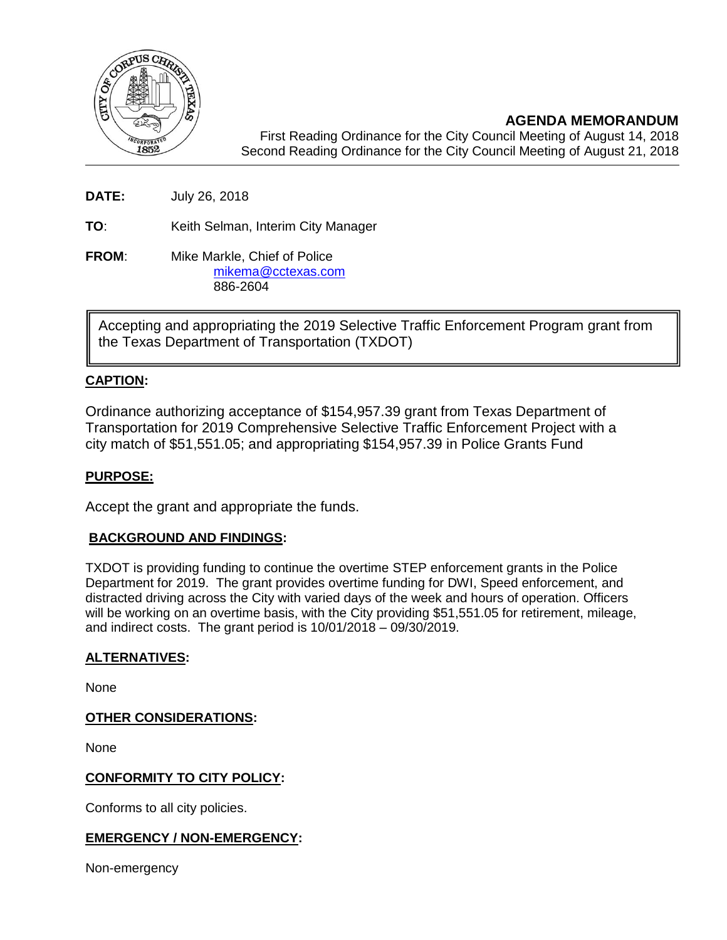

**AGENDA MEMORANDUM** First Reading Ordinance for the City Council Meeting of August 14, 2018 Second Reading Ordinance for the City Council Meeting of August 21, 2018

**DATE:** July 26, 2018

**TO**: Keith Selman, Interim City Manager

**FROM:** Mike Markle, Chief of Police [mikema@cctexas.com](mailto:mikema@cctexas.com) 886-2604

Accepting and appropriating the 2019 Selective Traffic Enforcement Program grant from the Texas Department of Transportation (TXDOT)

# **CAPTION:**

Ordinance authorizing acceptance of \$154,957.39 grant from Texas Department of Transportation for 2019 Comprehensive Selective Traffic Enforcement Project with a city match of \$51,551.05; and appropriating \$154,957.39 in Police Grants Fund

### **PURPOSE:**

Accept the grant and appropriate the funds.

### **BACKGROUND AND FINDINGS:**

TXDOT is providing funding to continue the overtime STEP enforcement grants in the Police Department for 2019. The grant provides overtime funding for DWI, Speed enforcement, and distracted driving across the City with varied days of the week and hours of operation. Officers will be working on an overtime basis, with the City providing \$51,551.05 for retirement, mileage, and indirect costs. The grant period is 10/01/2018 – 09/30/2019.

#### **ALTERNATIVES:**

None

#### **OTHER CONSIDERATIONS:**

None

### **CONFORMITY TO CITY POLICY:**

Conforms to all city policies.

### **EMERGENCY / NON-EMERGENCY:**

Non-emergency